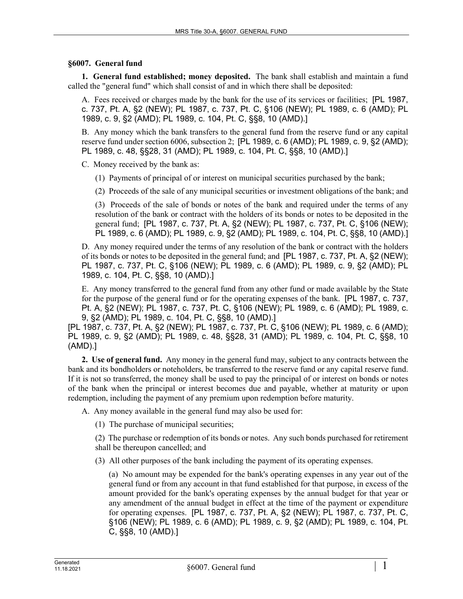## **§6007. General fund**

**1. General fund established; money deposited.** The bank shall establish and maintain a fund called the "general fund" which shall consist of and in which there shall be deposited:

A. Fees received or charges made by the bank for the use of its services or facilities; [PL 1987, c. 737, Pt. A, §2 (NEW); PL 1987, c. 737, Pt. C, §106 (NEW); PL 1989, c. 6 (AMD); PL 1989, c. 9, §2 (AMD); PL 1989, c. 104, Pt. C, §§8, 10 (AMD).]

B. Any money which the bank transfers to the general fund from the reserve fund or any capital reserve fund under section 6006, subsection 2; [PL 1989, c. 6 (AMD); PL 1989, c. 9, §2 (AMD); PL 1989, c. 48, §§28, 31 (AMD); PL 1989, c. 104, Pt. C, §§8, 10 (AMD).]

C. Money received by the bank as:

(1) Payments of principal of or interest on municipal securities purchased by the bank;

(2) Proceeds of the sale of any municipal securities or investment obligations of the bank; and

(3) Proceeds of the sale of bonds or notes of the bank and required under the terms of any resolution of the bank or contract with the holders of its bonds or notes to be deposited in the general fund; [PL 1987, c. 737, Pt. A, §2 (NEW); PL 1987, c. 737, Pt. C, §106 (NEW); PL 1989, c. 6 (AMD); PL 1989, c. 9, §2 (AMD); PL 1989, c. 104, Pt. C, §§8, 10 (AMD).]

D. Any money required under the terms of any resolution of the bank or contract with the holders of its bonds or notes to be deposited in the general fund; and [PL 1987, c. 737, Pt. A, §2 (NEW); PL 1987, c. 737, Pt. C, §106 (NEW); PL 1989, c. 6 (AMD); PL 1989, c. 9, §2 (AMD); PL 1989, c. 104, Pt. C, §§8, 10 (AMD).]

E. Any money transferred to the general fund from any other fund or made available by the State for the purpose of the general fund or for the operating expenses of the bank. [PL 1987, c. 737, Pt. A, §2 (NEW); PL 1987, c. 737, Pt. C, §106 (NEW); PL 1989, c. 6 (AMD); PL 1989, c. 9, §2 (AMD); PL 1989, c. 104, Pt. C, §§8, 10 (AMD).]

[PL 1987, c. 737, Pt. A, §2 (NEW); PL 1987, c. 737, Pt. C, §106 (NEW); PL 1989, c. 6 (AMD); PL 1989, c. 9, §2 (AMD); PL 1989, c. 48, §§28, 31 (AMD); PL 1989, c. 104, Pt. C, §§8, 10 (AMD).]

**2. Use of general fund.** Any money in the general fund may, subject to any contracts between the bank and its bondholders or noteholders, be transferred to the reserve fund or any capital reserve fund. If it is not so transferred, the money shall be used to pay the principal of or interest on bonds or notes of the bank when the principal or interest becomes due and payable, whether at maturity or upon redemption, including the payment of any premium upon redemption before maturity.

A. Any money available in the general fund may also be used for:

(1) The purchase of municipal securities;

(2) The purchase or redemption of its bonds or notes. Any such bonds purchased for retirement shall be thereupon cancelled; and

(3) All other purposes of the bank including the payment of its operating expenses.

(a) No amount may be expended for the bank's operating expenses in any year out of the general fund or from any account in that fund established for that purpose, in excess of the amount provided for the bank's operating expenses by the annual budget for that year or any amendment of the annual budget in effect at the time of the payment or expenditure for operating expenses. [PL 1987, c. 737, Pt. A, §2 (NEW); PL 1987, c. 737, Pt. C, §106 (NEW); PL 1989, c. 6 (AMD); PL 1989, c. 9, §2 (AMD); PL 1989, c. 104, Pt. C, §§8, 10 (AMD).]